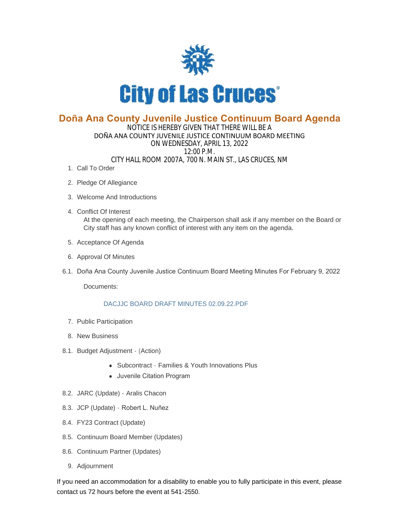

## **Doña Ana County Juvenile Justice Continuum Board Agenda**

## NOTICE IS HEREBY GIVEN THAT THERE WILL BE A DOÑA ANA COUNTY JUVENILE JUSTICE CONTINUUM BOARD MEETING ON WEDNESDAY, APRIL 13, 2022 12:00 P.M. CITY HALL ROOM 2007A, 700 N. MAIN ST., LAS CRUCES, NM

- 1. Call To Order
- 2. Pledge Of Allegiance
- Welcome And Introductions 3.
- Conflict Of Interest 4. At the opening of each meeting, the Chairperson shall ask if any member on the Board or City staff has any known conflict of interest with any item on the agenda.
- 5. Acceptance Of Agenda
- 6. Approval Of Minutes
- 6.1. Doña Ana County Juvenile Justice Continuum Board Meeting Minutes For February 9, 2022

Documents:

## [DACJJC BOARD DRAFT MINUTES 02.09.22.PDF](https://www.las-cruces.org/AgendaCenter/ViewFile/Item/9010?fileID=15083)

- 7. Public Participation
- 8. New Business
- 8.1. Budget Adjustment (Action)
	- Subcontract Families & Youth Innovations Plus
	- Juvenile Citation Program
- 8.2. JARC (Update) Aralis Chacon
- 8.3. JCP (Update) Robert L. Nuñez
- FY23 Contract (Update) 8.4.
- 8.5. Continuum Board Member (Updates)
- 8.6. Continuum Partner (Updates)
- 9. Adjournment

If you need an accommodation for a disability to enable you to fully participate in this event, please contact us 72 hours before the event at 541-2550.